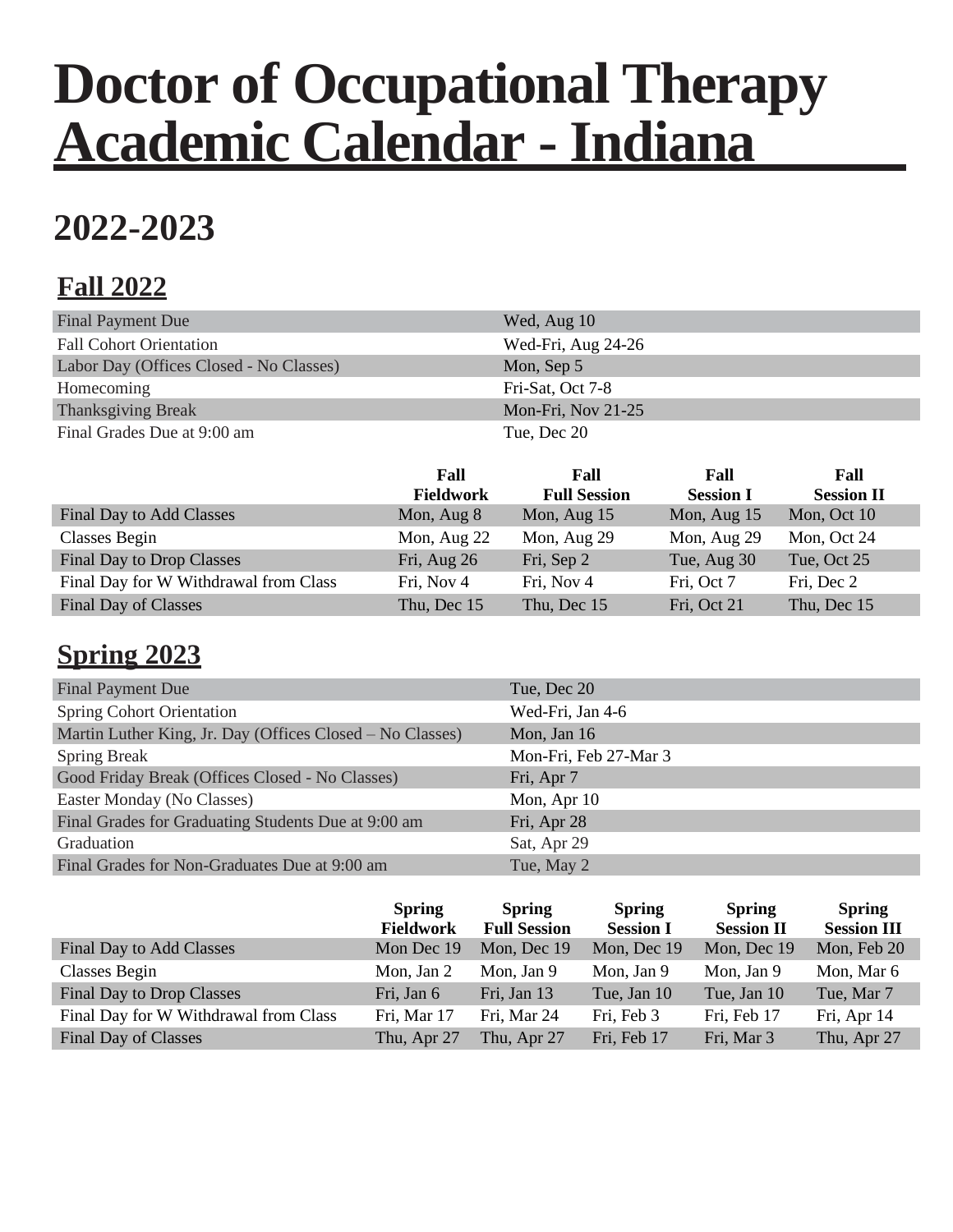# **Doctor of Occupational Therapy Academic Calendar - Indiana**

# **2022-2023**

## **Fall 2022**

| <b>Final Payment Due</b>                | Wed, Aug 10        |
|-----------------------------------------|--------------------|
| <b>Fall Cohort Orientation</b>          | Wed-Fri, Aug 24-26 |
| Labor Day (Offices Closed - No Classes) | Mon, Sep 5         |
| Homecoming                              | Fri-Sat, Oct 7-8   |
| <b>Thanksgiving Break</b>               | Mon-Fri, Nov 21-25 |
| Final Grades Due at 9:00 am             | Tue, Dec 20        |

|                                       | Fall<br><b>Fieldwork</b> | Fall<br><b>Full Session</b> | Fall<br><b>Session I</b> | Fall<br><b>Session II</b> |
|---------------------------------------|--------------------------|-----------------------------|--------------------------|---------------------------|
| Final Day to Add Classes              | Mon, Aug 8               | Mon, Aug 15                 | Mon, Aug 15              | Mon, Oct 10               |
| Classes Begin                         | Mon, Aug 22              | Mon, Aug 29                 | Mon, Aug 29              | Mon, Oct 24               |
| Final Day to Drop Classes             | Fri, Aug 26              | Fri, Sep 2                  | Tue, Aug 30              | Tue, Oct 25               |
| Final Day for W Withdrawal from Class | Fri, Nov 4               | Fri, Nov 4                  | Fri, Oct 7               | Fri, Dec 2                |
| Final Day of Classes                  | Thu, Dec 15              | Thu, Dec 15                 | Fri, Oct 21              | Thu, Dec 15               |

### **Spring 2023**

| <b>Final Payment Due</b>                                  | Tue, Dec 20           |
|-----------------------------------------------------------|-----------------------|
| <b>Spring Cohort Orientation</b>                          | Wed-Fri, Jan 4-6      |
| Martin Luther King, Jr. Day (Offices Closed – No Classes) | Mon, Jan 16           |
| <b>Spring Break</b>                                       | Mon-Fri, Feb 27-Mar 3 |
| Good Friday Break (Offices Closed - No Classes)           | Fri, Apr 7            |
| Easter Monday (No Classes)                                | Mon, Apr 10           |
| Final Grades for Graduating Students Due at 9:00 am       | Fri, Apr 28           |
| Graduation                                                | Sat, Apr 29           |
| Final Grades for Non-Graduates Due at 9:00 am             | Tue, May 2            |

|                                       | <b>Spring</b><br><b>Fieldwork</b> | <b>Spring</b><br><b>Full Session</b> | <b>Spring</b><br><b>Session I</b> | <b>Spring</b><br><b>Session II</b> | <b>Spring</b><br><b>Session III</b> |
|---------------------------------------|-----------------------------------|--------------------------------------|-----------------------------------|------------------------------------|-------------------------------------|
| <b>Final Day to Add Classes</b>       | Mon Dec 19                        | Mon, Dec 19                          | Mon, Dec 19                       | Mon, Dec 19                        | Mon, Feb 20                         |
| Classes Begin                         | Mon, Jan 2                        | Mon, Jan 9                           | Mon, Jan 9                        | Mon, Jan 9                         | Mon, Mar 6                          |
| Final Day to Drop Classes             | Fri, Jan 6                        | Fri, Jan 13                          | Tue, Jan 10                       | Tue, Jan 10                        | Tue, Mar 7                          |
| Final Day for W Withdrawal from Class | Fri, Mar 17                       | Fri, Mar 24                          | Fri, Feb 3                        | Fri, Feb 17                        | Fri, Apr 14                         |
| Final Day of Classes                  | Thu, Apr 27                       | Thu, Apr 27                          | Fri, Feb 17                       | Fri, Mar 3                         | Thu, Apr 27                         |